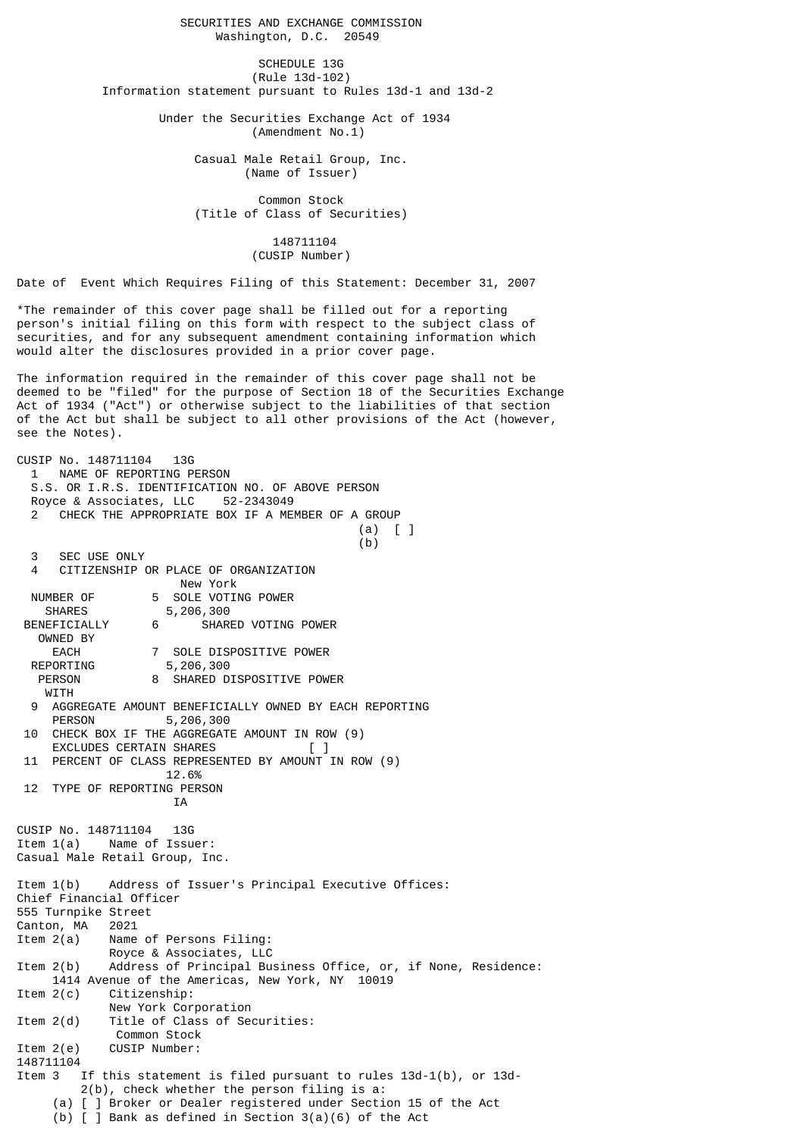SECURITIES AND EXCHANGE COMMISSION Washington, D.C. 20549

SCHEDULE 13G (Rule 13d-102) Information statement pursuant to Rules 13d-1 and 13d-2

> Under the Securities Exchange Act of 1934 (Amendment No.1)

> > Casual Male Retail Group, Inc. (Name of Issuer)

 Common Stock (Title of Class of Securities)

> 148711104 (CUSIP Number)

Date of Event Which Requires Filing of this Statement: December 31, 2007

\*The remainder of this cover page shall be filled out for a reporting person's initial filing on this form with respect to the subject class of securities, and for any subsequent amendment containing information which would alter the disclosures provided in a prior cover page.

The information required in the remainder of this cover page shall not be deemed to be "filed" for the purpose of Section 18 of the Securities Exchange Act of 1934 ("Act") or otherwise subject to the liabilities of that section of the Act but shall be subject to all other provisions of the Act (however, see the Notes).

CUSIP No. 148711104 13G 1 NAME OF REPORTING PERSON S.S. OR I.R.S. IDENTIFICATION NO. OF ABOVE PERSON Royce & Associates, LLC 52-2343049 CHECK THE APPROPRIATE BOX IF A MEMBER OF A GROUP (a) [ ]  $(b)$  3 SEC USE ONLY 4 CITIZENSHIP OR PLACE OF ORGANIZATION New York NUMBER OF 5 SOLE VOTING POWER<br>SHARES 5,206,300 5,206,300 BENEFICIALLY 6 SHARED VOTING POWER OWNED BY EACH 7 SOLE DISPOSITIVE POWER<br>REPORTING 5,206,300 5,206,300 PERSON 8 SHARED DISPOSITIVE POWER **WITH**  9 AGGREGATE AMOUNT BENEFICIALLY OWNED BY EACH REPORTING PERSON 5,206,300 10 CHECK BOX IF THE AGGREGATE AMOUNT IN ROW (9) EXCLUDES CERTAIN SHARES 11 PERCENT OF CLASS REPRESENTED BY AMOUNT IN ROW (9) 12.6% 12 TYPE OF REPORTING PERSON IA CUSIP No. 148711104 13G Item 1(a) Name of Issuer: Casual Male Retail Group, Inc. Item 1(b) Address of Issuer's Principal Executive Offices: Chief Financial Officer 555 Turnpike Street Canton, MA 2021<br>Item 2(a) Name Name of Persons Filing: Royce & Associates, LLC<br>Item 2(b) Address of Principal Bu Address of Principal Business Office, or, if None, Residence: 1414 Avenue of the Americas, New York, NY 10019 Item 2(c) Citizenship: New York Corporation Item 2(d) Title of Class of Securities: Common Stock Item 2(e) CUSIP Number: 148711104 Item 3 If this statement is filed pursuant to rules 13d-1(b), or 13d- 2(b), check whether the person filing is a: (a) [ ] Broker or Dealer registered under Section 15 of the Act (b)  $\overline{1}$  Bank as defined in Section 3(a)(6) of the Act